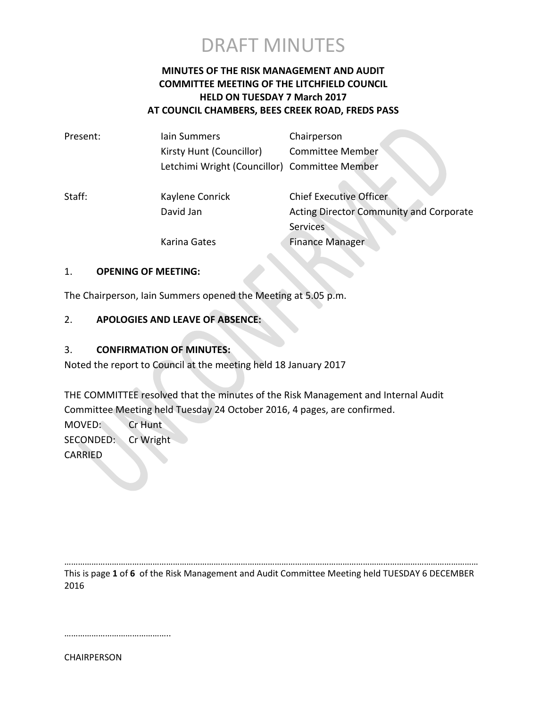

### **MINUTES OF THE RISK MANAGEMENT AND AUDIT COMMITTEE MEETING OF THE LITCHFIELD COUNCIL HELD ON TUESDAY 7 March 2017 AT COUNCIL CHAMBERS, BEES CREEK ROAD, FREDS PASS**

| Present: | lain Summers                                  | Chairperson                                    |
|----------|-----------------------------------------------|------------------------------------------------|
|          | Kirsty Hunt (Councillor)                      | <b>Committee Member</b>                        |
|          | Letchimi Wright (Councillor) Committee Member |                                                |
| Staff:   | Kaylene Conrick                               | <b>Chief Executive Officer</b>                 |
|          | David Jan                                     | <b>Acting Director Community and Corporate</b> |
|          |                                               | <b>Services</b>                                |
|          | Karina Gates                                  | <b>Finance Manager</b>                         |
|          |                                               |                                                |

### 1. **OPENING OF MEETING:**

The Chairperson, Iain Summers opened the Meeting at 5.05 p.m.

### 2. **APOLOGIES AND LEAVE OF ABSENCE:**

### 3. **CONFIRMATION OF MINUTES:**

Noted the report to Council at the meeting held 18 January 2017

THE COMMITTEE resolved that the minutes of the Risk Management and Internal Audit Committee Meeting held Tuesday 24 October 2016, 4 pages, are confirmed.

MOVED: Cr Hunt SECONDED: Cr Wright CARRIED

………………………………………………………………………………………………………………………………………………………………… This is page **1** of **6** of the Risk Management and Audit Committee Meeting held TUESDAY 6 DECEMBER 2016

………………………………………..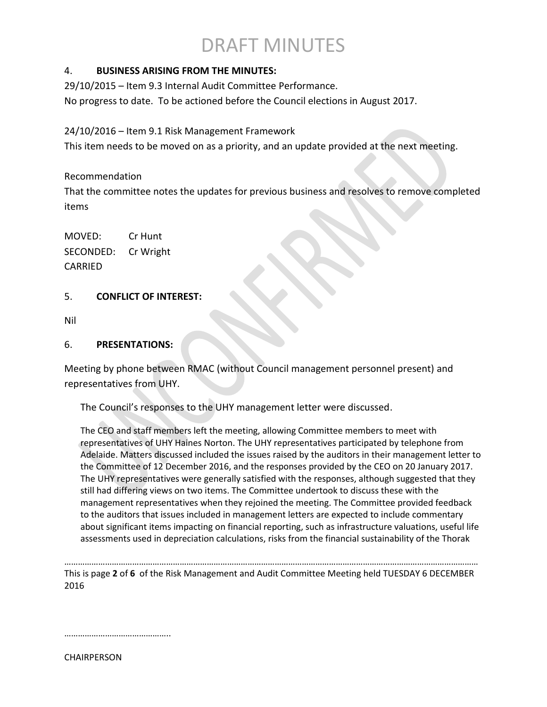### 4. **BUSINESS ARISING FROM THE MINUTES:**

29/10/2015 – Item 9.3 Internal Audit Committee Performance.

No progress to date. To be actioned before the Council elections in August 2017.

### 24/10/2016 – Item 9.1 Risk Management Framework

This item needs to be moved on as a priority, and an update provided at the next meeting.

### Recommendation

That the committee notes the updates for previous business and resolves to remove completed items

MOVED: Cr Hunt SECONDED: Cr Wright CARRIED

### 5. **CONFLICT OF INTEREST:**

Nil

### 6. **PRESENTATIONS:**

Meeting by phone between RMAC (without Council management personnel present) and representatives from UHY.

The Council's responses to the UHY management letter were discussed.

The CEO and staff members left the meeting, allowing Committee members to meet with representatives of UHY Haines Norton. The UHY representatives participated by telephone from Adelaide. Matters discussed included the issues raised by the auditors in their management letter to the Committee of 12 December 2016, and the responses provided by the CEO on 20 January 2017. The UHY representatives were generally satisfied with the responses, although suggested that they still had differing views on two items. The Committee undertook to discuss these with the management representatives when they rejoined the meeting. The Committee provided feedback to the auditors that issues included in management letters are expected to include commentary about significant items impacting on financial reporting, such as infrastructure valuations, useful life assessments used in depreciation calculations, risks from the financial sustainability of the Thorak

………………………………………………………………………………………………………………………………………………………………… This is page **2** of **6** of the Risk Management and Audit Committee Meeting held TUESDAY 6 DECEMBER 2016

…………………………………………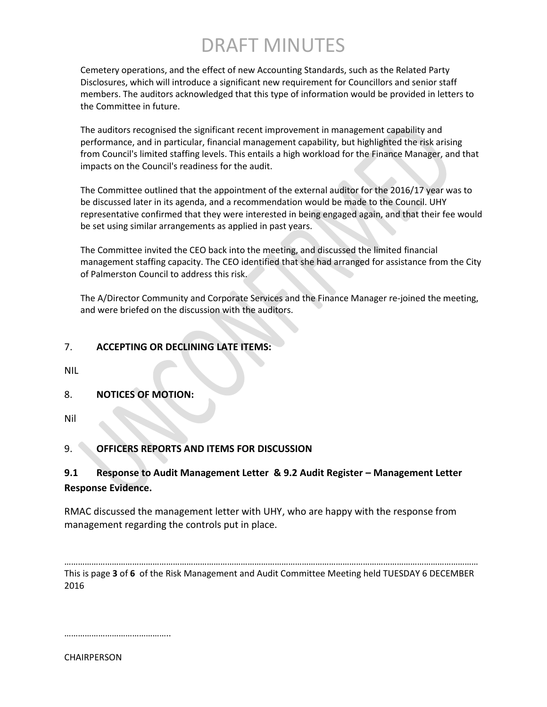Cemetery operations, and the effect of new Accounting Standards, such as the Related Party Disclosures, which will introduce a significant new requirement for Councillors and senior staff members. The auditors acknowledged that this type of information would be provided in letters to the Committee in future.

The auditors recognised the significant recent improvement in management capability and performance, and in particular, financial management capability, but highlighted the risk arising from Council's limited staffing levels. This entails a high workload for the Finance Manager, and that impacts on the Council's readiness for the audit.

The Committee outlined that the appointment of the external auditor for the 2016/17 year was to be discussed later in its agenda, and a recommendation would be made to the Council. UHY representative confirmed that they were interested in being engaged again, and that their fee would be set using similar arrangements as applied in past years.

The Committee invited the CEO back into the meeting, and discussed the limited financial management staffing capacity. The CEO identified that she had arranged for assistance from the City of Palmerston Council to address this risk.

The A/Director Community and Corporate Services and the Finance Manager re-joined the meeting, and were briefed on the discussion with the auditors.

### 7. **ACCEPTING OR DECLINING LATE ITEMS:**

NIL

8. **NOTICES OF MOTION:**

Nil

### 9. **OFFICERS REPORTS AND ITEMS FOR DISCUSSION**

### **9.1 Response to Audit Management Letter & 9.2 Audit Register – Management Letter Response Evidence.**

RMAC discussed the management letter with UHY, who are happy with the response from management regarding the controls put in place.

………………………………………………………………………………………………………………………………………………………………… This is page **3** of **6** of the Risk Management and Audit Committee Meeting held TUESDAY 6 DECEMBER 2016

…………………………………………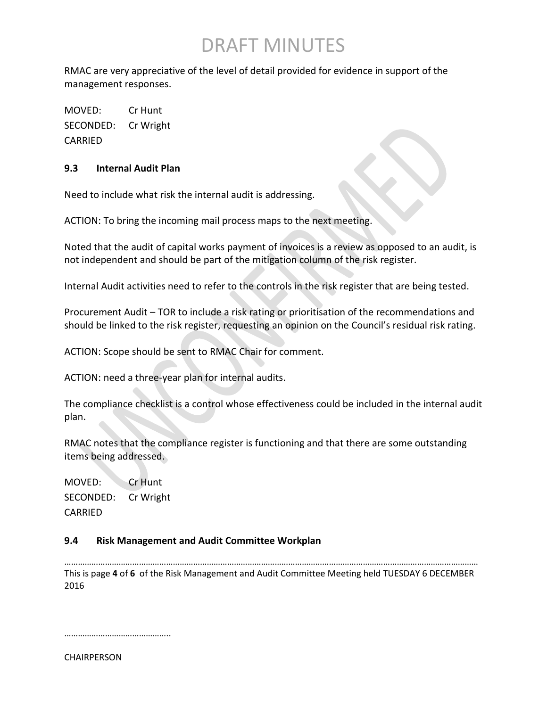RMAC are very appreciative of the level of detail provided for evidence in support of the management responses.

MOVED: Cr Hunt SECONDED: Cr Wright CARRIED

### **9.3 Internal Audit Plan**

Need to include what risk the internal audit is addressing.

ACTION: To bring the incoming mail process maps to the next meeting.

Noted that the audit of capital works payment of invoices is a review as opposed to an audit, is not independent and should be part of the mitigation column of the risk register.

Internal Audit activities need to refer to the controls in the risk register that are being tested.

Procurement Audit – TOR to include a risk rating or prioritisation of the recommendations and should be linked to the risk register, requesting an opinion on the Council's residual risk rating.

ACTION: Scope should be sent to RMAC Chair for comment.

ACTION: need a three-year plan for internal audits.

The compliance checklist is a control whose effectiveness could be included in the internal audit plan.

RMAC notes that the compliance register is functioning and that there are some outstanding items being addressed.

MOVED: Cr Hunt SECONDED: Cr Wright CARRIED

### **9.4 Risk Management and Audit Committee Workplan**

………………………………………………………………………………………………………………………………………………………………… This is page **4** of **6** of the Risk Management and Audit Committee Meeting held TUESDAY 6 DECEMBER 2016

………………………………………..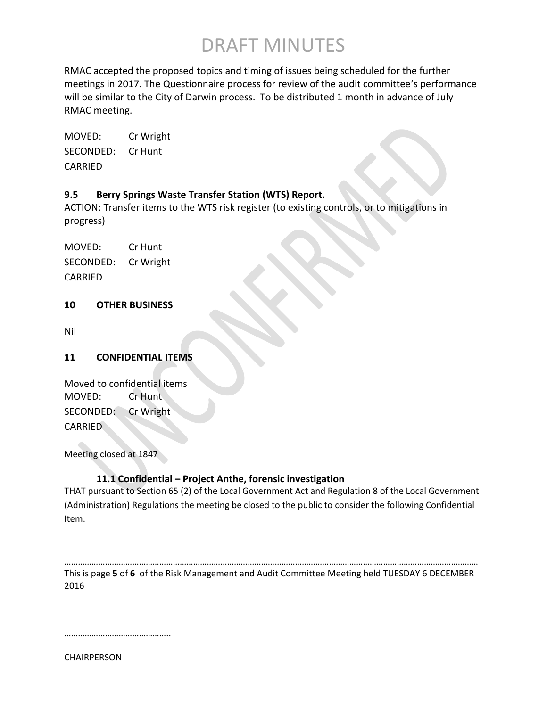RMAC accepted the proposed topics and timing of issues being scheduled for the further meetings in 2017. The Questionnaire process for review of the audit committee's performance will be similar to the City of Darwin process. To be distributed 1 month in advance of July RMAC meeting.

MOVED: Cr Wright SECONDED: Cr Hunt CARRIED

### **9.5 Berry Springs Waste Transfer Station (WTS) Report.**

ACTION: Transfer items to the WTS risk register (to existing controls, or to mitigations in progress)

MOVED: Cr Hunt SECONDED: Cr Wright CARRIED

### **10 OTHER BUSINESS**

Nil

### **11 CONFIDENTIAL ITEMS**

Moved to confidential items MOVED: Cr Hunt SECONDED: Cr Wright CARRIED

Meeting closed at 1847

### **11.1 Confidential – Project Anthe, forensic investigation**

THAT pursuant to Section 65 (2) of the Local Government Act and Regulation 8 of the Local Government (Administration) Regulations the meeting be closed to the public to consider the following Confidential Item.

………………………………………………………………………………………………………………………………………………………………… This is page **5** of **6** of the Risk Management and Audit Committee Meeting held TUESDAY 6 DECEMBER 2016

………………………………………..